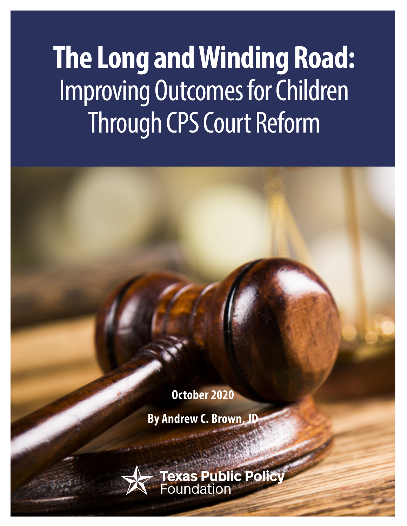# **The Long and Winding Road:**  Improving Outcomes for Children Through CPS Court Reform

**October 2020**

**By Andrew C. Brown, JD**

**Texas Public Polit**<br>Foundation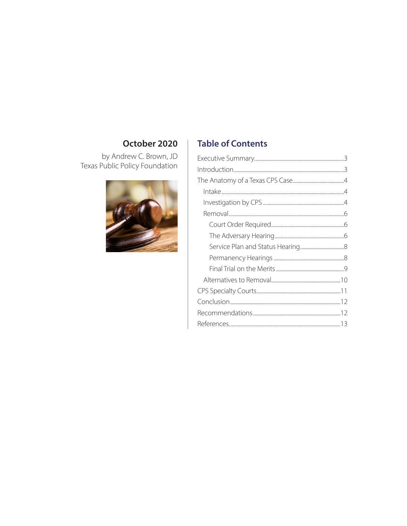# October 2020

by Andrew C. Brown, JD<br>Texas Public Policy Foundation



# **Table of Contents**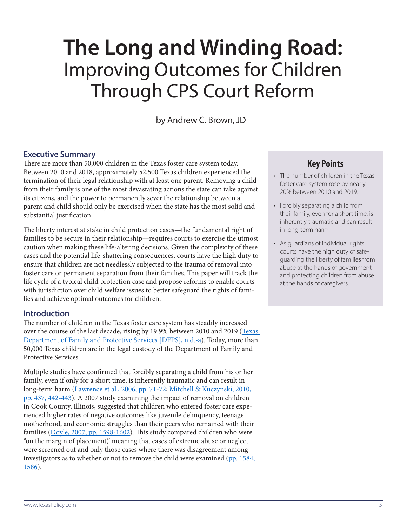# **The Long and Winding Road:** Improving Outcomes for Children Through CPS Court Reform

by Andrew C. Brown, JD

#### **Executive Summary**

There are more than 50,000 children in the Texas foster care system today. Between 2010 and 2018, approximately 52,500 Texas children experienced the termination of their legal relationship with at least one parent. Removing a child from their family is one of the most devastating actions the state can take against its citizens, and the power to permanently sever the relationship between a parent and child should only be exercised when the state has the most solid and substantial justification.

The liberty interest at stake in child protection cases—the fundamental right of families to be secure in their relationship—requires courts to exercise the utmost caution when making these life-altering decisions. Given the complexity of these cases and the potential life-shattering consequences, courts have the high duty to ensure that children are not needlessly subjected to the trauma of removal into foster care or permanent separation from their families. This paper will track the life cycle of a typical child protection case and propose reforms to enable courts with jurisdiction over child welfare issues to better safeguard the rights of families and achieve optimal outcomes for children.

#### **Introduction**

The number of children in the Texas foster care system has steadily increased over the course of the last decade, rising by 19.9% between 2010 and 2019 (Texas [Department of Family and Protective Services \[DFPS\], n.d.-a\)](https://www.dfps.state.tx.us/About_DFPS/Data_Book/Child_Protective_Services/Conservatorship/Children_in_Conservatorship.asp). Today, more than 50,000 Texas children are in the legal custody of the Department of Family and Protective Services.

Multiple studies have confirmed that forcibly separating a child from his or her family, even if only for a short time, is inherently traumatic and can result in long-term harm [\(Lawrence et al., 2006, pp. 71-72;](https://cca-ct.org/Study Impact of Foster Care on Child Dev.pdf) [Mitchell & Kuczynski, 2010,](https://www.sciencedirect.com/science/article/pii/S0190740909003089)  [pp. 437, 442-443\)](https://www.sciencedirect.com/science/article/pii/S0190740909003089). A 2007 study examining the impact of removal on children in Cook County, Illinois, suggested that children who entered foster care experienced higher rates of negative outcomes like juvenile delinquency, teenage motherhood, and economic struggles than their peers who remained with their families [\(Doyle, 2007, pp. 1598-1602\)](https://pubs.aeaweb.org/doi/pdfplus/10.1257/aer.97.5.1583). This study compared children who were "on the margin of placement," meaning that cases of extreme abuse or neglect were screened out and only those cases where there was disagreement among investigators as to whether or not to remove the child were examined (pp. 1584, [1586](https://pubs.aeaweb.org/doi/pdfplus/10.1257/aer.97.5.1583)).

# **Key Points**

- The number of children in the Texas foster care system rose by nearly 20% between 2010 and 2019.
- Forcibly separating a child from their family, even for a short time, is inherently traumatic and can result in long-term harm.
- As guardians of individual rights, courts have the high duty of safeguarding the liberty of families from abuse at the hands of government and protecting children from abuse at the hands of caregivers.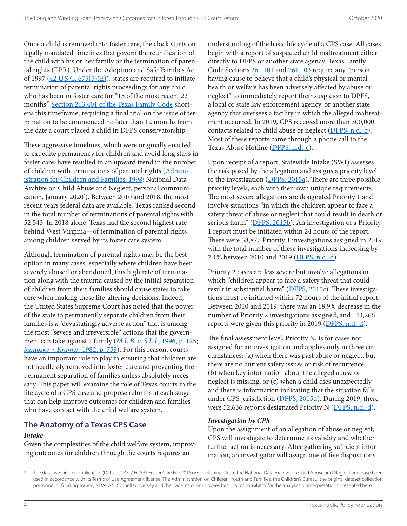Once a child is removed into foster care, the clock starts on legally mandated timelines that govern the reunification of the child with his or her family or the termination of parental rights (TPR). Under the Adoption and Safe Families Act of 1997  $(42 \text{ U.S.C. } 675(5)(\text{E}))$ , states are required to initiate termination of parental rights proceedings for any child who has been in foster care for "15 of the most recent 22 months." [Section 263.401 of the Texas Family Code](https://statutes.capitol.texas.gov/Docs/FA/htm/FA.263.htm#263.401) shortens this timeframe, requiring a final trial on the issue of termination to be commenced no later than 12 months from the date a court placed a child in DFPS conservatorship.

These aggressive timelines, which were originally enacted to expedite permanency for children and avoid long stays in foster care, have resulted in an upward trend in the number of children with terminations of parental rights [\(Admin](https://www.acf.hhs.gov/sites/default/files/cb/pi9802.pdf)[istration for Children and Families, 1998](https://www.acf.hhs.gov/sites/default/files/cb/pi9802.pdf); National Data Archive on Child Abuse and Neglect, personal communication, January 2020\* ). Between 2010 and 2018, the most recent years federal data are available, Texas ranked second in the total number of terminations of parental rights with 52,543. In 2018 alone, Texas had the second highest rate behind West Virginia—of termination of parental rights among children served by its foster care system.

Although termination of parental rights may be the best option in many cases, especially where children have been severely abused or abandoned, this high rate of termination along with the trauma caused by the initial separation of children from their families should cause states to take care when making these life-altering decisions. Indeed, the United States Supreme Court has noted that the power of the state to permanently separate children from their families is a "devastatingly adverse action" that is among the most "severe and irreversible" actions that the government can take against a family (*[M.L.B. v. S.L.J.](https://supreme.justia.com/cases/federal/us/519/102/#tab-opinion-1959945)*, 1996, p. 125; *[Santosky v. Kramer](https://supreme.justia.com/cases/federal/us/455/745/)*, 1982, p. 759). For this reason, courts have an important role to play in ensuring that children are not heedlessly removed into foster care and preventing the permanent separation of families unless absolutely necessary. This paper will examine the role of Texas courts in the life cycle of a CPS case and propose reforms at each stage that can help improve outcomes for children and families who have contact with the child welfare system.

# **The Anatomy of a Texas CPS Case**

#### *Intake*

Given the complexities of the child welfare system, improving outcomes for children through the courts requires an

understanding of the basic life cycle of a CPS case. All cases begin with a report of suspected child maltreatment either directly to DFPS or another state agency. Texas Family Code Sections [261.101](https://statutes.capitol.texas.gov/Docs/FA/htm/FA.261.htm#261.101) and [261.103](https://statutes.capitol.texas.gov/Docs/FA/htm/FA.261.htm#261.103) require any "person" having cause to believe that a child's physical or mental health or welfare has been adversely affected by abuse or neglect" to immediately report their suspicion to DPFS, a local or state law enforcement agency, or another state agency that oversees a facility in which the alleged maltreatment occurred. In 2019, CPS received more than 300,000 contacts related to child abuse or neglect ([DFPS, n.d.-b](https://www.dfps.state.tx.us/About_DFPS/Data_Book/Statewide_Intake/Contacts.asp)). Most of these reports came through a phone call to the Texas Abuse Hotline [\(DFPS, n.d.-c\)](https://www.dfps.state.tx.us/contact_us/report_abuse.asp).

Upon receipt of a report, Statewide Intake (SWI) assesses the risk posed by the allegation and assigns a priority level to the investigation [\(DFPS, 2015a](https://www.dfps.state.tx.us/handbooks/SWI_Procedures/Files/SWP_pg_4000.asp#SWP_4300)). There are three possible priority levels, each with their own unique requirements. The most severe allegations are designated Priority 1 and involve situations "in which the children appear to face a safety threat of abuse or neglect that could result in death or serious harm" [\(DFPS, 2015b\)](https://www.dfps.state.tx.us/handbooks/SWI_Procedures/Files/SWP_pg_4000.asp#SWP_4300). An investigation of a Priority 1 report must be initiated within 24 hours of the report. There were 58,877 Priority 1 investigations assigned in 2019 with the total number of these investigations increasing by 7.1% between 2010 and 2019 ([DFPS, n.d.-d\)](https://www.dfps.state.tx.us/About_DFPS/Data_Book/Child_Protective_Investigations/Intakes.asp).

Priority 2 cases are less severe but involve allegations in which "children appear to face a safety threat that could result in substantial harm" ([DFPS, 2015c\)](https://www.dfps.state.tx.us/handbooks/SWI_Procedures/Files/SWP_pg_4000.asp#SWP_4300). These investigations must be initiated within 72 hours of the initial report. Between 2010 and 2019, there was an 18.9% decrease in the number of Priority 2 investigations assigned, and 143,266 reports were given this priority in 2019 ( $\overline{\text{DFPS}, \text{n.d.-d}}$ ).

The final assessment level, Priority N, is for cases not assigned for an investigation and applies only in three circumstances: (a) when there was past abuse or neglect, but there are no current safety issues or risk of recurrence; (b) when key information about the alleged abuse or neglect is missing; or (c) when a child dies unexpectedly and there is information indicating that the situation falls under CPS jurisdiction [\(DFPS, 2015d](https://www.dfps.state.tx.us/handbooks/SWI_Procedures/Files/SWP_pg_4000.asp#SWP_4300)). During 2019, there were 52,636 reports designated Priority N [\(DFPS, n.d.-d\)](https://www.dfps.state.tx.us/About_DFPS/Data_Book/Child_Protective_Investigations/Intakes.asp).

#### *Investigation by CPS*

Upon the assignment of an allegation of abuse or neglect, CPS will investigate to determine its validity and whether further action is necessary. After gathering sufficient information, an investigator will assign one of five dispositions

The data used in this publication (Dataset 235, AFCARS Foster Care File 2018) were obtained from the National Data Archive on Child Abuse and Neglect and have been used in accordance with its Terms of Use Agreement license. The Administration on Children, Youth and Families, the Children's Bureau, the original dataset collection personnel or funding source, NDACAN, Cornell University and their agents or employees bear no responsibility for the analyses or interpretations presented here.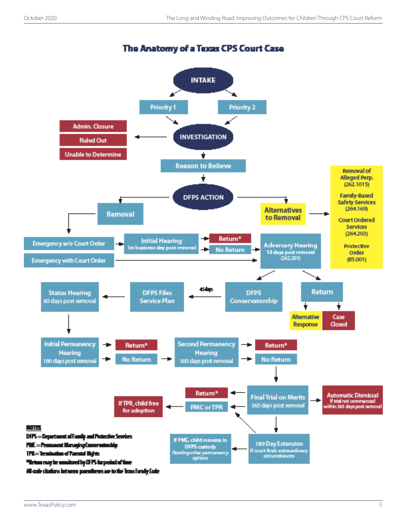

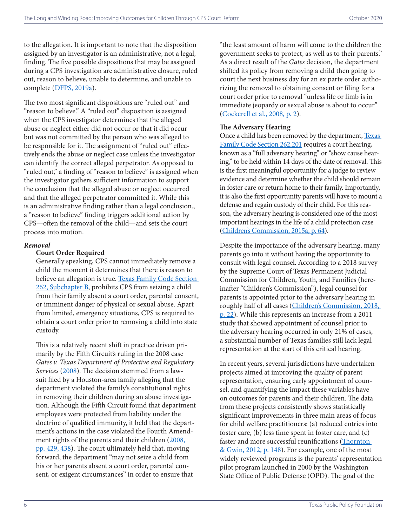to the allegation. It is important to note that the disposition assigned by an investigator is an administrative, not a legal, finding. The five possible dispositions that may be assigned during a CPS investigation are administrative closure, ruled out, reason to believe, unable to determine, and unable to complete [\(DFPS, 2019a\)](https://www.dfps.state.tx.us/handbooks/CPS/Files/CPS_pg_2200.asp).

The two most significant dispositions are "ruled out" and "reason to believe." A "ruled out" disposition is assigned when the CPS investigator determines that the alleged abuse or neglect either did not occur or that it did occur but was not committed by the person who was alleged to be responsible for it. The assignment of "ruled out" effectively ends the abuse or neglect case unless the investigator can identify the correct alleged perpetrator. As opposed to "ruled out," a finding of "reason to believe" is assigned when the investigator gathers sufficient information to support the conclusion that the alleged abuse or neglect occurred and that the alleged perpetrator committed it. While this is an administrative finding rather than a legal conclusion., a "reason to believe" finding triggers additional action by CPS—often the removal of the child—and sets the court process into motion.

#### *Removal*

#### **Court Order Required**

Generally speaking, CPS cannot immediately remove a child the moment it determines that there is reason to believe an allegation is true. Texas Family Code Section [262, Subchapter B,](https://statutes.capitol.texas.gov/Docs/FA/htm/FA.262.htm#262.101) prohibits CPS from seizing a child from their family absent a court order, parental consent, or imminent danger of physical or sexual abuse. Apart from limited, emergency situations, CPS is required to obtain a court order prior to removing a child into state custody.

This is a relatively recent shift in practice driven primarily by the Fifth Circuit's ruling in the 2008 case *Gates v. Texas Department of Protective and Regulatory Services* [\(2008](https://caselaw.findlaw.com/us-5th-circuit/1117189.html)). The decision stemmed from a lawsuit filed by a Houston-area family alleging that the department violated the family's constitutional rights in removing their children during an abuse investigation. Although the Fifth Circuit found that department employees were protected from liability under the doctrine of qualified immunity, it held that the department's actions in the case violated the Fourth Amendment rights of the parents and their children (2008, [pp. 429, 438\)](https://caselaw.findlaw.com/us-5th-circuit/1117189.html). The court ultimately held that, moving forward, the department "may not seize a child from his or her parents absent a court order, parental consent, or exigent circumstances" in order to ensure that

"the least amount of harm will come to the children the government seeks to protect, as well as to their parents." As a direct result of the *Gates* decision, the department shifted its policy from removing a child then going to court the next business day for an ex parte order authorizing the removal to obtaining consent or filing for a court order prior to removal "unless life or limb is in immediate jeopardy or sexual abuse is about to occur" ([Cockerell et al., 2008, p. 2\)](https://thsc.org/wp-content/uploads/2012/07/cps-memo-2008-08-22-gates-case.pdf).

#### **The Adversary Hearing**

Once a child has been removed by the department, [Texas](https://statutes.capitol.texas.gov/Docs/FA/htm/FA.262.htm#262.201)  [Family Code Section 262.201](https://statutes.capitol.texas.gov/Docs/FA/htm/FA.262.htm#262.201) requires a court hearing, known as a "full adversary hearing" or "show cause hearing," to be held within 14 days of the date of removal. This is the first meaningful opportunity for a judge to review evidence and determine whether the child should remain in foster care or return home to their family. Importantly, it is also the first opportunity parents will have to mount a defense and regain custody of their child. For this reason, the adversary hearing is considered one of the most important hearings in the life of a child protection case [\(Children's Commission, 2015a, p. 64](http://parentresourceguide.texaschildrenscommission.gov/pdf/Child Protective Services Parent Resource Guide 2015.pdf)).

Despite the importance of the adversary hearing, many parents go into it without having the opportunity to consult with legal counsel. According to a 2018 survey by the Supreme Court of Texas Permanent Judicial Commission for Children, Youth, and Families (hereinafter "Children's Commission"), legal counsel for parents is appointed prior to the adversary hearing in roughly half of all cases ([Children's Commission, 2018,](http://texaschildrenscommission.gov/media/83923/2018-legal-representation-report-final-online.pdf)  [p. 22\)](http://texaschildrenscommission.gov/media/83923/2018-legal-representation-report-final-online.pdf). While this represents an increase from a 2011 study that showed appointment of counsel prior to the adversary hearing occurred in only 21% of cases, a substantial number of Texas families still lack legal representation at the start of this critical hearing.

In recent years, several jurisdictions have undertaken projects aimed at improving the quality of parent representation, ensuring early appointment of counsel, and quantifying the impact these variables have on outcomes for parents and their children. The data from these projects consistently shows statistically significant improvements in three main areas of focus for child welfare practitioners: (a) reduced entries into foster care, (b) less time spent in foster care, and (c) faster and more successful reunifications ([Thornton](https://www.oregon.gov/gov/policy/Documents/LRCD/Meeting6_031616/Cost_Benefit_Analysis/Parent_Rep_cost_savings.pdf)  [& Gwin, 2012, p. 148\)](https://www.oregon.gov/gov/policy/Documents/LRCD/Meeting6_031616/Cost_Benefit_Analysis/Parent_Rep_cost_savings.pdf). For example, one of the most widely reviewed programs is the parents' representation pilot program launched in 2000 by the Washington State Office of Public Defense (OPD). The goal of the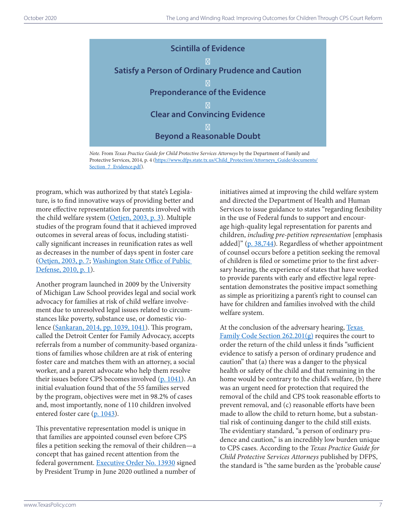

*Note.* From *Texas Practice Guide for Child Protective Services Attorneys* by the Department of Family and Protective Services, 2014, p. 4 [\(https://www.dfps.state.tx.us/Child\\_Protection/Attorneys\\_Guide/documents/](https://www.dfps.state.tx.us/Child_Protection/Attorneys_Guide/documents/Section_7_Evidence.pdf) [Section\\_7\\_Evidence.pdf](https://www.dfps.state.tx.us/Child_Protection/Attorneys_Guide/documents/Section_7_Evidence.pdf)).

program, which was authorized by that state's Legislature, is to find innovative ways of providing better and more effective representation for parents involved with the child welfare system [\(Oetjen, 2003, p. 3\)](http://www.opd.wa.gov/documents/0047-2003_PRP_Evaluation.pdf). Multiple studies of the program found that it achieved improved outcomes in several areas of focus, including statistically significant increases in reunification rates as well as decreases in the number of days spent in foster care ([Oetjen, 2003, p. 7](http://www.opd.wa.gov/documents/0047-2003_PRP_Evaluation.pdf); [Washington State Office of Public](http://www.opd.wa.gov/documents/0049-2010_PRP_Evaluation.pdf)  [Defense, 2010, p. 1](http://www.opd.wa.gov/documents/0049-2010_PRP_Evaluation.pdf)).

Another program launched in 2009 by the University of Michigan Law School provides legal and social work advocacy for families at risk of child welfare involvement due to unresolved legal issues related to circumstances like poverty, substance use, or domestic violence [\(Sankaran, 2014, pp. 1039, 1041\)](https://open.mitchellhamline.edu/cgi/viewcontent.cgi?article=1576&context=wmlr). This program, called the Detroit Center for Family Advocacy, accepts referrals from a number of community-based organizations of families whose children are at risk of entering foster care and matches them with an attorney, a social worker, and a parent advocate who help them resolve their issues before CPS becomes involved [\(p. 1041\)](https://open.mitchellhamline.edu/cgi/viewcontent.cgi?article=1576&context=wmlr). An initial evaluation found that of the 55 families served by the program, objectives were met in 98.2% of cases and, most importantly, none of 110 children involved entered foster care [\(p. 1043\)](https://open.mitchellhamline.edu/cgi/viewcontent.cgi?article=1576&context=wmlr).

This preventative representation model is unique in that families are appointed counsel even before CPS files a petition seeking the removal of their children—a concept that has gained recent attention from the federal government. [Executive Order No. 13930](https://www.federalregister.gov/documents/2020/06/29/2020-14077/strengthening-the-child-welfare-system-for-americas-children) signed by President Trump in June 2020 outlined a number of

initiatives aimed at improving the child welfare system and directed the Department of Health and Human Services to issue guidance to states "regarding flexibility in the use of Federal funds to support and encourage high-quality legal representation for parents and children, *including pre-petition representation* [emphasis added]" [\(p. 38,744\)](https://www.federalregister.gov/documents/2020/06/29/2020-14077/strengthening-the-child-welfare-system-for-americas-children). Regardless of whether appointment of counsel occurs before a petition seeking the removal of children is filed or sometime prior to the first adversary hearing, the experience of states that have worked to provide parents with early and effective legal representation demonstrates the positive impact something as simple as prioritizing a parent's right to counsel can have for children and families involved with the child welfare system.

At the conclusion of the adversary hearing, Texas [Family Code Section 262.201\(g\)](https://statutes.capitol.texas.gov/Docs/FA/htm/FA.262.htm) requires the court to order the return of the child unless it finds "sufficient evidence to satisfy a person of ordinary prudence and caution" that (a) there was a danger to the physical health or safety of the child and that remaining in the home would be contrary to the child's welfare, (b) there was an urgent need for protection that required the removal of the child and CPS took reasonable efforts to prevent removal, and (c) reasonable efforts have been made to allow the child to return home, but a substantial risk of continuing danger to the child still exists. The evidentiary standard, "a person of ordinary prudence and caution," is an incredibly low burden unique to CPS cases. According to the *Texas Practice Guide for Child Protective Services Attorneys* published by DFPS, the standard is "the same burden as the 'probable cause'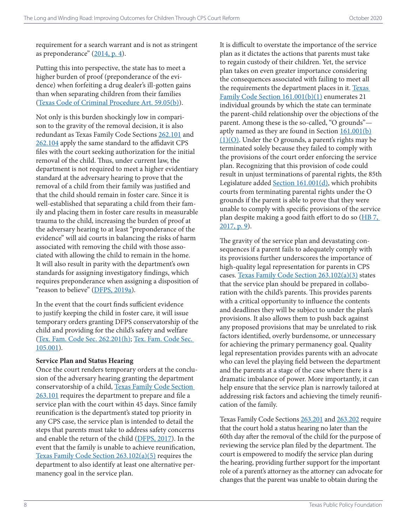requirement for a search warrant and is not as stringent as preponderance" (2014, p. 4).

Putting this into perspective, the state has to meet a higher burden of proof (preponderance of the evidence) when forfeiting a drug dealer's ill-gotten gains than when separating children from their families ([Texas Code of Criminal Procedure Art. 59.05\(b\)](https://statutes.capitol.texas.gov/Docs/CR/htm/CR.59.htm#59.05)).

Not only is this burden shockingly low in comparison to the gravity of the removal decision, it is also redundant as Texas Family Code Sections [262.101](https://statutes.capitol.texas.gov/Docs/FA/htm/FA.262.htm#262.101) and [262.104](https://statutes.capitol.texas.gov/Docs/FA/htm/FA.262.htm#262.104) apply the same standard to the affidavit CPS files with the court seeking authorization for the initial removal of the child. Thus, under current law, the department is not required to meet a higher evidentiary standard at the adversary hearing to prove that the removal of a child from their family was justified and that the child should remain in foster care. Since it is well-established that separating a child from their family and placing them in foster care results in measurable trauma to the child, increasing the burden of proof at the adversary hearing to at least "preponderance of the evidence" will aid courts in balancing the risks of harm associated with removing the child with those associated with allowing the child to remain in the home. It will also result in parity with the department's own standards for assigning investigatory findings, which requires preponderance when assigning a disposition of "reason to believe" ([DFPS, 2019a\)](https://www.dfps.state.tx.us/handbooks/CPS/Files/CPS_pg_2200.asp).

In the event that the court finds sufficient evidence to justify keeping the child in foster care, it will issue temporary orders granting DFPS conservatorship of the child and providing for the child's safety and welfare ([Tex. Fam. Code Sec. 262.201\(h\)](https://statutes.capitol.texas.gov/Docs/FA/htm/FA.262.htm#262.201); [Tex. Fam. Code Sec.](https://statutes.capitol.texas.gov/Docs/FA/htm/FA.105.htm#105.001)  [105.001](https://statutes.capitol.texas.gov/Docs/FA/htm/FA.105.htm#105.001)).

#### **Service Plan and Status Hearing**

Once the court renders temporary orders at the conclusion of the adversary hearing granting the department conservatorship of a child, [Texas Family Code Section](https://statutes.capitol.texas.gov/Docs/FA/htm/FA.263.htm#263.101)  [263.101](https://statutes.capitol.texas.gov/Docs/FA/htm/FA.263.htm#263.101) requires the department to prepare and file a service plan with the court within 45 days. Since family reunification is the department's stated top priority in any CPS case, the service plan is intended to detail the steps that parents must take to address safety concerns and enable the return of the child ([DFPS, 2017](https://www.dfps.state.tx.us/handbooks/CPS/Files/CPS_pg_6200.asp)). In the event that the family is unable to achieve reunification, [Texas Family Code Section 263.102\(a\)\(5\)](https://statutes.capitol.texas.gov/Docs/FA/htm/FA.263.htm#263.102) requires the department to also identify at least one alternative permanency goal in the service plan.

It is difficult to overstate the importance of the service plan as it dictates the actions that parents must take to regain custody of their children. Yet, the service plan takes on even greater importance considering the consequences associated with failing to meet all the requirements the department places in it. [Texas](https://statutes.capitol.texas.gov/Docs/FA/htm/FA.161.htm#161.001)  [Family Code Section 161.001\(b\)\(1\)](https://statutes.capitol.texas.gov/Docs/FA/htm/FA.161.htm#161.001) enumerates 21 individual grounds by which the state can terminate the parent-child relationship over the objections of the parent. Among these is the so-called, "O grounds" aptly named as they are found in Section  $161.001(b)$  $(1)(O)$ . Under the O grounds, a parent's rights may be terminated solely because they failed to comply with the provisions of the court order enforcing the service plan. Recognizing that this provision of code could result in unjust terminations of parental rights, the 85th Legislature added [Section 161.001\(d\)](https://statutes.capitol.texas.gov/Docs/FA/htm/FA.161.htm#161.001), which prohibits courts from terminating parental rights under the O grounds if the parent is able to prove that they were unable to comply with specific provisions of the service plan despite making a good faith effort to do so [\(HB 7,](https://capitol.texas.gov/tlodocs/85R/billtext/pdf/HB00007F.pdf#navpanes=0)  [2017, p. 9\)](https://capitol.texas.gov/tlodocs/85R/billtext/pdf/HB00007F.pdf#navpanes=0).

The gravity of the service plan and devastating consequences if a parent fails to adequately comply with its provisions further underscores the importance of high-quality legal representation for parents in CPS cases. [Texas Family Code Section 263.102\(a\)\(3\)](https://statutes.capitol.texas.gov/Docs/FA/htm/FA.263.htm#263.102) states that the service plan should be prepared in collaboration with the child's parents. This provides parents with a critical opportunity to influence the contents and deadlines they will be subject to under the plan's provisions. It also allows them to push back against any proposed provisions that may be unrelated to risk factors identified, overly burdensome, or unnecessary for achieving the primary permanency goal. Quality legal representation provides parents with an advocate who can level the playing field between the department and the parents at a stage of the case where there is a dramatic imbalance of power. More importantly, it can help ensure that the service plan is narrowly tailored at addressing risk factors and achieving the timely reunification of the family.

Texas Family Code Sections [263.201](https://statutes.capitol.texas.gov/Docs/FA/htm/FA.263.htm#263.201) and [263.202](https://statutes.capitol.texas.gov/Docs/FA/htm/FA.263.htm#263.202) require that the court hold a status hearing no later than the 60th day after the removal of the child for the purpose of reviewing the service plan filed by the department. The court is empowered to modify the service plan during the hearing, providing further support for the important role of a parent's attorney as the attorney can advocate for changes that the parent was unable to obtain during the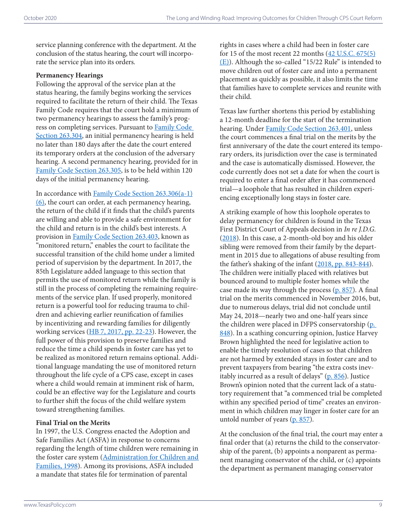service planning conference with the department. At the conclusion of the status hearing, the court will incorporate the service plan into its orders.

#### **Permanency Hearings**

Following the approval of the service plan at the status hearing, the family begins working the services required to facilitate the return of their child. The Texas Family Code requires that the court hold a minimum of two permanency hearings to assess the family's progress on completing services. Pursuant to [Family Code](https://statutes.capitol.texas.gov/Docs/FA/htm/FA.263.htm#263.304)  [Section 263.304](https://statutes.capitol.texas.gov/Docs/FA/htm/FA.263.htm#263.304), an initial permanency hearing is held no later than 180 days after the date the court entered its temporary orders at the conclusion of the adversary hearing. A second permanency hearing, provided for in [Family Code Section 263.305](https://statutes.capitol.texas.gov/Docs/FA/htm/FA.263.htm#263.305), is to be held within 120 days of the initial permanency hearing.

In accordance with [Family Code Section 263.306\(a-1\)](https://statutes.capitol.texas.gov/Docs/FA/htm/FA.263.htm#263.306) [\(6\),](https://statutes.capitol.texas.gov/Docs/FA/htm/FA.263.htm#263.306) the court can order, at each permanency hearing, the return of the child if it finds that the child's parents are willing and able to provide a safe environment for the child and return is in the child's best interests. A provision in [Family Code Section 263.403,](https://statutes.capitol.texas.gov/Docs/FA/htm/FA.263.htm#263.403) known as "monitored return," enables the court to facilitate the successful transition of the child home under a limited period of supervision by the department. In 2017, the 85th Legislature added language to this section that permits the use of monitored return while the family is still in the process of completing the remaining requirements of the service plan. If used properly, monitored return is a powerful tool for reducing trauma to children and achieving earlier reunification of families by incentivizing and rewarding families for diligently working services ([HB 7, 2017, pp. 22-23\)](https://capitol.texas.gov/tlodocs/85R/billtext/pdf/HB00007F.pdf#navpanes=0). However, the full power of this provision to preserve families and reduce the time a child spends in foster care has yet to be realized as monitored return remains optional. Additional language mandating the use of monitored return throughout the life cycle of a CPS case, except in cases where a child would remain at imminent risk of harm, could be an effective way for the Legislature and courts to further shift the focus of the child welfare system toward strengthening families.

#### **Final Trial on the Merits**

In 1997, the U.S. Congress enacted the Adoption and Safe Families Act (ASFA) in response to concerns regarding the length of time children were remaining in the foster care system (Administration for Children and [Families, 1998\)](https://www.acf.hhs.gov/sites/default/files/cb/pi9802.pdf). Among its provisions, ASFA included a mandate that states file for termination of parental

rights in cases where a child had been in foster care for 15 of the most recent 22 months ([42 U.S.C. 675\(5\)](https://www.ssa.gov/OP_Home/ssact/title04/0475.htm) [\(E\)\)](https://www.ssa.gov/OP_Home/ssact/title04/0475.htm). Although the so-called "15/22 Rule" is intended to move children out of foster care and into a permanent placement as quickly as possible, it also limits the time that families have to complete services and reunite with their child.

Texas law further shortens this period by establishing a 12-month deadline for the start of the termination hearing. Under [Family Code Section 263.401](https://statutes.capitol.texas.gov/Docs/FA/htm/FA.263.htm#263.401), unless the court commences a final trial on the merits by the first anniversary of the date the court entered its temporary orders, its jurisdiction over the case is terminated and the case is automatically dismissed. However, the code currently does not set a date for when the court is required to enter a final order after it has commenced trial—a loophole that has resulted in children experiencing exceptionally long stays in foster care.

A striking example of how this loophole operates to delay permanency for children is found in the Texas First District Court of Appeals decision in *In re J.D.G.* ([2018\)](https://casetext.com/case/in-re-of-2695). In this case, a 2-month-old boy and his older sibling were removed from their family by the department in 2015 due to allegations of abuse resulting from the father's shaking of the infant ([2018, pp. 843-844](https://casetext.com/case/in-re-of-2695)). The children were initially placed with relatives but bounced around to multiple foster homes while the case made its way through the process  $(p. 857)$ . A final trial on the merits commenced in November 2016, but, due to numerous delays, trial did not conclude until May 24, 2018—nearly two and one-half years since the children were placed in DFPS conservatorship (p. [848\)](https://casetext.com/case/in-re-of-2695). In a scathing concurring opinion, Justice Harvey Brown highlighted the need for legislative action to enable the timely resolution of cases so that children are not harmed by extended stays in foster care and to prevent taxpayers from bearing "the extra costs inevitably incurred as a result of delays" [\(p. 856\)](https://casetext.com/case/in-re-of-2695). Justice Brown's opinion noted that the current lack of a statutory requirement that "a commenced trial be completed within any specified period of time" creates an environment in which children may linger in foster care for an untold number of years ([p. 857](https://casetext.com/case/in-re-of-2695)).

At the conclusion of the final trial, the court may enter a final order that (a) returns the child to the conservatorship of the parent, (b) appoints a nonparent as permanent managing conservator of the child, or (c) appoints the department as permanent managing conservator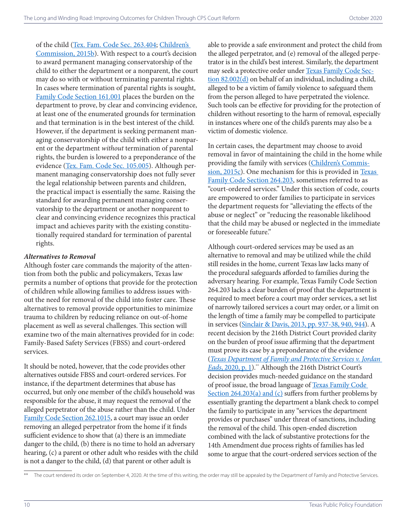of the child [\(Tex. Fam. Code Sec. 263.404](https://statutes.capitol.texas.gov/Docs/FA/htm/FA.263.htm#263.404); [Children's](http://benchbook.texaschildrenscommission.gov/library_item/gov.texaschildrenscommission.benchbook_draft/69) 

[Commission, 2015b](http://benchbook.texaschildrenscommission.gov/library_item/gov.texaschildrenscommission.benchbook_draft/69)). With respect to a court's decision to award permanent managing conservatorship of the child to either the department or a nonparent, the court may do so with or without terminating parental rights. In cases where termination of parental rights is sought, [Family Code Section 161.001](https://statutes.capitol.texas.gov/Docs/FA/htm/FA.161.htm#161.001) places the burden on the department to prove, by clear and convincing evidence, at least one of the enumerated grounds for termination and that termination is in the best interest of the child. However, if the department is seeking permanent managing conservatorship of the child with either a nonparent or the department *without* termination of parental rights, the burden is lowered to a preponderance of the evidence ([Tex. Fam. Code Sec. 105.005\)](https://statutes.capitol.texas.gov/Docs/FA/htm/FA.105.htm#105.005). Although permanent managing conservatorship does not fully sever the legal relationship between parents and children, the practical impact is essentially the same. Raising the standard for awarding permanent managing conservatorship to the department or another nonparent to clear and convincing evidence recognizes this practical impact and achieves parity with the existing constitutionally required standard for termination of parental rights.

#### *Alternatives to Removal*

Although foster care commands the majority of the attention from both the public and policymakers, Texas law permits a number of options that provide for the protection of children while allowing families to address issues without the need for removal of the child into foster care. These alternatives to removal provide opportunities to minimize trauma to children by reducing reliance on out-of-home placement as well as several challenges. This section will examine two of the main alternatives provided for in code: Family-Based Safety Services (FBSS) and court-ordered services.

It should be noted, however, that the code provides other alternatives outside FBSS and court-ordered services. For instance, if the department determines that abuse has occurred, but only one member of the child's household was responsible for the abuse, it may request the removal of the alleged perpetrator of the abuse rather than the child. Under [Family Code Section 262.1015](https://statutes.capitol.texas.gov/Docs/FA/htm/FA.262.htm#262.1015), a court may issue an order removing an alleged perpetrator from the home if it finds sufficient evidence to show that (a) there is an immediate danger to the child, (b) there is no time to hold an adversary hearing, (c) a parent or other adult who resides with the child is not a danger to the child, (d) that parent or other adult is

able to provide a safe environment and protect the child from the alleged perpetrator, and (e) removal of the alleged perpetrator is in the child's best interest. Similarly, the department may seek a protective order under [Texas Family Code Sec](https://statutes.capitol.texas.gov/Docs/FA/htm/FA.82.htm#82.002)[tion 82.002\(d\)](https://statutes.capitol.texas.gov/Docs/FA/htm/FA.82.htm#82.002) on behalf of an individual, including a child, alleged to be a victim of family violence to safeguard them from the person alleged to have perpetrated the violence. Such tools can be effective for providing for the protection of children without resorting to the harm of removal, especially in instances where one of the child's parents may also be a victim of domestic violence.

In certain cases, the department may choose to avoid removal in favor of maintaining the child in the home while providing the family with services ([Children's Commis](http://benchbook.texaschildrenscommission.gov/library_item/gov.texaschildrenscommission.benchbook_draft/10)[sion, 2015c](http://benchbook.texaschildrenscommission.gov/library_item/gov.texaschildrenscommission.benchbook_draft/10)). One mechanism for this is provided in Texas [Family Code Section 264.203,](https://statutes.capitol.texas.gov/Docs/FA/htm/FA.264.htm#264.203) sometimes referred to as "court-ordered services." Under this section of code, courts are empowered to order families to participate in services the department requests for "alleviating the effects of the abuse or neglect" or "reducing the reasonable likelihood that the child may be abused or neglected in the immediate or foreseeable future."

Although court-ordered services may be used as an alternative to removal and may be utilized while the child still resides in the home, current Texas law lacks many of the procedural safeguards afforded to families during the adversary hearing. For example, Texas Family Code Section 264.203 lacks a clear burden of proof that the department is required to meet before a court may order services, a set list of narrowly tailored services a court may order, or a limit on the length of time a family may be compelled to participate in services ([Sinclair & Davis, 2013, pp. 937-38, 940, 944](https://heinonline.org/HOL/LandingPage?handle=hein.journals/twlr19&div=59&id=&page=)). A recent decision by the 216th District Court provided clarity on the burden of proof issue affirming that the department must prove its case by a preponderance of the evidence (*[Texas Department of Family and Protective Services v. Jordan](https://files.texaspolicy.com/uploads/2020/09/08151134/2020-9-4-Final-Judgment-and-Order.pdf)  Eads*[, 2020, p. 1\)](https://files.texaspolicy.com/uploads/2020/09/08151134/2020-9-4-Final-Judgment-and-Order.pdf).\*\* Although the 216th District Court's decision provides much-needed guidance on the standard of proof issue, the broad language of [Texas Family Code](https://statutes.capitol.texas.gov/Docs/FA/htm/FA.264.htm#264.203)  [Section 264.203\(a\) and \(c\)](https://statutes.capitol.texas.gov/Docs/FA/htm/FA.264.htm#264.203) suffers from further problems by essentially granting the department a blank check to compel the family to participate in any "services the department provides or purchases" under threat of sanctions, including the removal of the child. This open-ended discretion combined with the lack of substantive protections for the 14th Amendment due process rights of families has led some to argue that the court-ordered services section of the

The court rendered its order on September 4, 2020. At the time of this writing, the order may still be appealed by the Department of Family and Protective Services.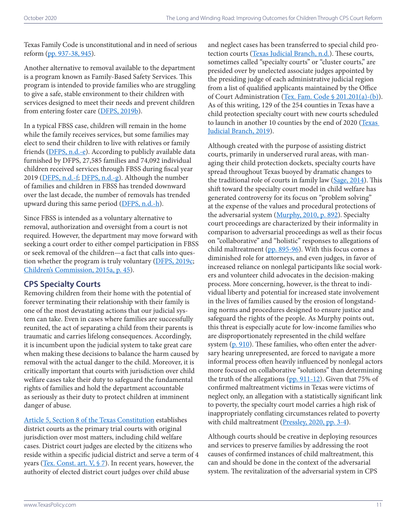Texas Family Code is unconstitutional and in need of serious reform ([pp. 937-38, 945](https://heinonline.org/HOL/LandingPage?handle=hein.journals/twlr19&div=59&id=&page=)).

Another alternative to removal available to the department is a program known as Family-Based Safety Services. This program is intended to provide families who are struggling to give a safe, stable environment to their children with services designed to meet their needs and prevent children from entering foster care [\(DFPS, 2019b\)](https://www.dfps.state.tx.us/handbooks/CPS/Files/CPS_pg_x12000.asp).

In a typical FBSS case, children will remain in the home while the family receives services, but some families may elect to send their children to live with relatives or family friends [\(DFPS, n.d.-e\)](https://www.dfps.state.tx.us/Child_Protection/Family_Support/FBSS.asp). According to publicly available data furnished by DFPS, 27,585 families and 74,092 individual children received services through FBSS during fiscal year 2019 [\(DFPS, n.d.-f;](https://www.dfps.state.tx.us/About_DFPS/Data_Book/Child_Protective_Services/Family_Preservation/Families_Served.asp) [DFPS, n.d.-g\)](https://www.dfps.state.tx.us/About_DFPS/Data_Book/Child_Protective_Services/Family_Preservation/Children_Served.asp). Although the number of families and children in FBSS has trended downward over the last decade, the number of removals has trended upward during this same period [\(DFPS, n.d.-h\)](https://www.dfps.state.tx.us/About_DFPS/Data_Book/Child_Protective_Services/Conservatorship/Removals.asp).

Since FBSS is intended as a voluntary alternative to removal, authorization and oversight from a court is not required. However, the department may move forward with seeking a court order to either compel participation in FBSS or seek removal of the children—a fact that calls into ques-tion whether the program is truly voluntary [\(DFPS, 2019c](https://www.dfps.state.tx.us/handbooks/CPS/Files/CPS_pg_x12000.asp#CPS_12651); [Children's Commission, 2015a, p. 45\)](http://parentresourceguide.texaschildrenscommission.gov/pdf/Child Protective Services Parent Resource Guide 2015.pdf).

# **CPS Specialty Courts**

Removing children from their home with the potential of forever terminating their relationship with their family is one of the most devastating actions that our judicial system can take. Even in cases where families are successfully reunited, the act of separating a child from their parents is traumatic and carries lifelong consequences. Accordingly, it is incumbent upon the judicial system to take great care when making these decisions to balance the harm caused by removal with the actual danger to the child. Moreover, it is critically important that courts with jurisdiction over child welfare cases take their duty to safeguard the fundamental rights of families and hold the department accountable as seriously as their duty to protect children at imminent danger of abuse.

[Article 5, Section 8 of the Texas Constitution](https://statutes.capitol.texas.gov/Docs/CN/htm/CN.5.htm#5.8) establishes district courts as the primary trial courts with original jurisdiction over most matters, including child welfare cases. District court judges are elected by the citizens who reside within a specific judicial district and serve a term of 4 years (Tex. Const. art.  $V$ ,  $\S$  7). In recent years, however, the authority of elected district court judges over child abuse

and neglect cases has been transferred to special child pro-tection courts ([Texas Judicial Branch, n.d.\)](https://www.txcourts.gov/about-texas-courts/childrens-courts/). These courts, sometimes called "specialty courts" or "cluster courts," are presided over by unelected associate judges appointed by the presiding judge of each administrative judicial region from a list of qualified applicants maintained by the Office of Court Administration [\(Tex. Fam. Code § 201.201\(a\)-\(b\)\)](https://statutes.capitol.texas.gov/Docs/FA/htm/FA.201.htm#201.201). As of this writing, 129 of the 254 counties in Texas have a child protection specialty court with new courts scheduled to launch in another 10 counties by the end of 2020 ([Texas](https://www.txcourts.gov/media/1445466/childprotectioncourts_december2019-11x17.pdf)  [Judicial Branch, 2019](https://www.txcourts.gov/media/1445466/childprotectioncourts_december2019-11x17.pdf)).

Although created with the purpose of assisting district courts, primarily in underserved rural areas, with managing their child protection dockets, specialty courts have spread throughout Texas buoyed by dramatic changes to the traditional role of courts in family law ([Sage, 2014\)](http://texaschildrenscommission.gov/media/1372/30-texas-child-protection-specialty-courts.pdf). This shift toward the specialty court model in child welfare has generated controversy for its focus on "problem solving" at the expense of the values and procedural protections of the adversarial system ([Murphy, 2010, p. 892](https://scholarworks.law.ubalt.edu/cgi/viewcontent.cgi?article=1027&context=all_fac)). Specialty court proceedings are characterized by their informality in comparison to adversarial proceedings as well as their focus on "collaborative" and "holistic" responses to allegations of child maltreatment [\(pp. 895-96](https://scholarworks.law.ubalt.edu/cgi/viewcontent.cgi?article=1027&context=all_fac)). With this focus comes a diminished role for attorneys, and even judges, in favor of increased reliance on nonlegal participants like social workers and volunteer child advocates in the decision-making process. More concerning, however, is the threat to individual liberty and potential for increased state involvement in the lives of families caused by the erosion of longstanding norms and procedures designed to ensure justice and safeguard the rights of the people. As Murphy points out, this threat is especially acute for low-income families who are disproportionately represented in the child welfare system [\(p. 910](https://scholarworks.law.ubalt.edu/cgi/viewcontent.cgi?article=1027&context=all_fac)). These families, who often enter the adversary hearing unrepresented, are forced to navigate a more informal process often heavily influenced by nonlegal actors more focused on collaborative "solutions" than determining the truth of the allegations  $(pp. 911-12)$  $(pp. 911-12)$  $(pp. 911-12)$ . Given that 75% of confirmed maltreatment victims in Texas were victims of neglect only, an allegation with a statistically significant link to poverty, the specialty court model carries a high risk of inappropriately conflating circumstances related to poverty with child maltreatment [\(Pressley, 2020, pp. 3-4](https://files.texaspolicy.com/uploads/2020/06/01142226/Pressley-Neglect-Poverty-Perspective1.pdf)).

Although courts should be creative in deploying resources and services to preserve families by addressing the root causes of confirmed instances of child maltreatment, this can and should be done in the context of the adversarial system. The revitalization of the adversarial system in CPS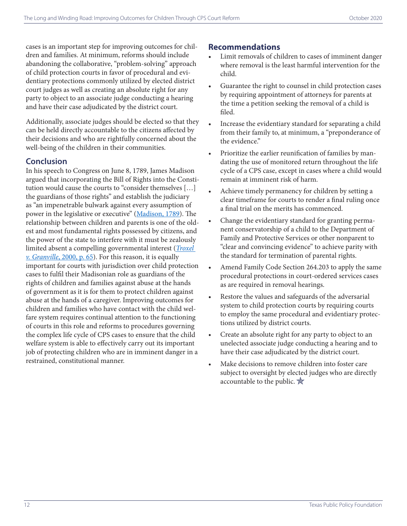cases is an important step for improving outcomes for children and families. At minimum, reforms should include abandoning the collaborative, "problem-solving" approach of child protection courts in favor of procedural and evidentiary protections commonly utilized by elected district court judges as well as creating an absolute right for any party to object to an associate judge conducting a hearing and have their case adjudicated by the district court.

Additionally, associate judges should be elected so that they can be held directly accountable to the citizens affected by their decisions and who are rightfully concerned about the well-being of the children in their communities.

## **Conclusion**

In his speech to Congress on June 8, 1789, James Madison argued that incorporating the Bill of Rights into the Constitution would cause the courts to "consider themselves […] the guardians of those rights" and establish the judiciary as "an impenetrable bulwark against every assumption of power in the legislative or executive" [\(Madison, 1789](https://press-pubs.uchicago.edu/founders/documents/v1ch14s50.html)). The relationship between children and parents is one of the oldest and most fundamental rights possessed by citizens, and the power of the state to interfere with it must be zealously limited absent a compelling governmental interest (*[Troxel](https://supreme.justia.com/cases/federal/us/530/57/)  v. Granville*[, 2000, p. 65](https://supreme.justia.com/cases/federal/us/530/57/)). For this reason, it is equally important for courts with jurisdiction over child protection cases to fulfil their Madisonian role as guardians of the rights of children and families against abuse at the hands of government as it is for them to protect children against abuse at the hands of a caregiver. Improving outcomes for children and families who have contact with the child welfare system requires continual attention to the functioning of courts in this role and reforms to procedures governing the complex life cycle of CPS cases to ensure that the child welfare system is able to effectively carry out its important job of protecting children who are in imminent danger in a restrained, constitutional manner.

## **Recommendations**

- Limit removals of children to cases of imminent danger where removal is the least harmful intervention for the child.
- Guarantee the right to counsel in child protection cases by requiring appointment of attorneys for parents at the time a petition seeking the removal of a child is filed.
- Increase the evidentiary standard for separating a child from their family to, at minimum, a "preponderance of the evidence"
- Prioritize the earlier reunification of families by mandating the use of monitored return throughout the life cycle of a CPS case, except in cases where a child would remain at imminent risk of harm.
- Achieve timely permanency for children by setting a clear timeframe for courts to render a final ruling once a final trial on the merits has commenced.
- Change the evidentiary standard for granting permanent conservatorship of a child to the Department of Family and Protective Services or other nonparent to "clear and convincing evidence" to achieve parity with the standard for termination of parental rights.
- Amend Family Code Section 264.203 to apply the same procedural protections in court-ordered services cases as are required in removal hearings.
- Restore the values and safeguards of the adversarial system to child protection courts by requiring courts to employ the same procedural and evidentiary protections utilized by district courts.
- Create an absolute right for any party to object to an unelected associate judge conducting a hearing and to have their case adjudicated by the district court.
- Make decisions to remove children into foster care subject to oversight by elected judges who are directly accountable to the public.  $\frac{1}{N}$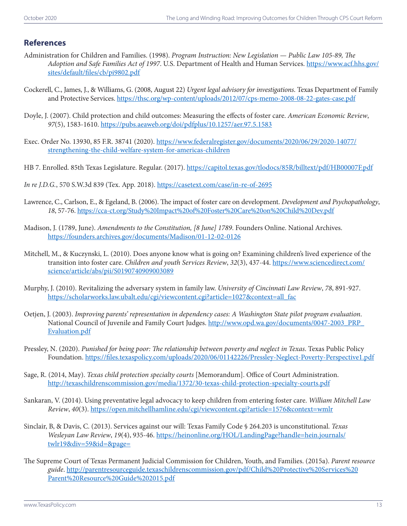#### **References**

- Administration for Children and Families. (1998). *Program Instruction: New Legislation Public Law 105-89, The Adoption and Safe Families Act of 1997*. U.S. Department of Health and Human Services. [https://www.acf.hhs.gov/](https://www.acf.hhs.gov/sites/default/files/cb/pi9802.pdf) [sites/default/files/cb/pi9802.pdf](https://www.acf.hhs.gov/sites/default/files/cb/pi9802.pdf)
- Cockerell, C., James, J., & Williams, G. (2008, August 22) *Urgent legal advisory for investigations*. Texas Department of Family and Protective Services. <https://thsc.org/wp-content/uploads/2012/07/cps-memo-2008-08-22-gates-case.pdf>
- Doyle, J. (2007). Child protection and child outcomes: Measuring the effects of foster care. *American Economic Review*, *97*(5), 1583-1610. <https://pubs.aeaweb.org/doi/pdfplus/10.1257/aer.97.5.1583>
- Exec. Order No. 13930, 85 F.R. 38741 (2020). [https://www.federalregister.gov/documents/2020/06/29/2020-14077/](https://www.federalregister.gov/documents/2020/06/29/2020-14077/strengthening-the-child-welfare-system-for-americas-children) [strengthening-the-child-welfare-system-for-americas-children](https://www.federalregister.gov/documents/2020/06/29/2020-14077/strengthening-the-child-welfare-system-for-americas-children)
- HB 7. Enrolled. 85th Texas Legislature. Regular. (2017). [https://capitol.texas.gov/tlodocs/85R/billtext/pdf/HB00007F.pdf](https://capitol.texas.gov/tlodocs/85R/billtext/pdf/HB00007F.pdf#navpanes=0)
- *In re J.D.G.*, 570 S.W.3d 839 (Tex. App. 2018).<https://casetext.com/case/in-re-of-2695>
- Lawrence, C., Carlson, E., & Egeland, B. (2006). The impact of foster care on development. *Development and Psychopathology*, *18*, 57-76. [https://cca-ct.org/Study%20Impact%20of%20Foster%20Care%20on%20Child%20Dev.pdf](https://cca-ct.org/Study Impact of Foster Care on Child Dev.pdf)
- Madison, J. (1789, June). *Amendments to the Constitution, [8 June] 1789*. Founders Online. National Archives. <https://founders.archives.gov/documents/Madison/01-12-02-0126>
- Mitchell, M., & Kuczynski, L. (2010). Does anyone know what is going on? Examining children's lived experience of the transition into foster care. *Children and youth Services Review*, *32*(3), 437-44. [https://www.sciencedirect.com/](https://www.sciencedirect.com/science/article/abs/pii/S0190740909003089) [science/article/abs/pii/S0190740909003089](https://www.sciencedirect.com/science/article/abs/pii/S0190740909003089)
- Murphy, J. (2010). Revitalizing the adversary system in family law. *University of Cincinnati Law Review*, *78*, 891-927. [https://scholarworks.law.ubalt.edu/cgi/viewcontent.cgi?article=1027&context=all\\_fac](https://scholarworks.law.ubalt.edu/cgi/viewcontent.cgi?article=1027&context=all_fac)
- Oetjen, J. (2003). *Improving parents' representation in dependency cases: A Washington State pilot program evaluation*. National Council of Juvenile and Family Court Judges. [http://www.opd.wa.gov/documents/0047-2003\\_PRP\\_](http://www.opd.wa.gov/documents/0047-2003_PRP_Evaluation.pdf) [Evaluation.pdf](http://www.opd.wa.gov/documents/0047-2003_PRP_Evaluation.pdf)
- Pressley, N. (2020). *Punished for being poor: The relationship between poverty and neglect in Texas*. Texas Public Policy Foundation.<https://files.texaspolicy.com/uploads/2020/06/01142226/Pressley-Neglect-Poverty-Perspective1.pdf>
- Sage, R. (2014, May). *Texas child protection specialty courts* [Memorandum]. Office of Court Administration. <http://texaschildrenscommission.gov/media/1372/30-texas-child-protection-specialty-courts.pdf>
- Sankaran, V. (2014). Using preventative legal advocacy to keep children from entering foster care. *William Mitchell Law Review*, *40*(3).<https://open.mitchellhamline.edu/cgi/viewcontent.cgi?article=1576&context=wmlr>
- Sinclair, B, & Davis, C. (2013). Services against our will: Texas Family Code § 264.203 is unconstitutional. *Texas Wesleyan Law Review*, *19*(4), 935-46. [https://heinonline.org/HOL/LandingPage?handle=hein.journals/](https://heinonline.org/HOL/LandingPage?handle=hein.journals/twlr19&div=59&id=&page=) [twlr19&div=59&id=&page=](https://heinonline.org/HOL/LandingPage?handle=hein.journals/twlr19&div=59&id=&page=)
- The Supreme Court of Texas Permanent Judicial Commission for Children, Youth, and Families. (2015a). *Parent resource guide*. [http://parentresourceguide.texaschildrenscommission.gov/pdf/Child%20Protective%20Services%20](http://parentresourceguide.texaschildrenscommission.gov/pdf/Child Protective Services Parent Resource Guide 2015.pdf) [Parent%20Resource%20Guide%202015.pdf](http://parentresourceguide.texaschildrenscommission.gov/pdf/Child Protective Services Parent Resource Guide 2015.pdf)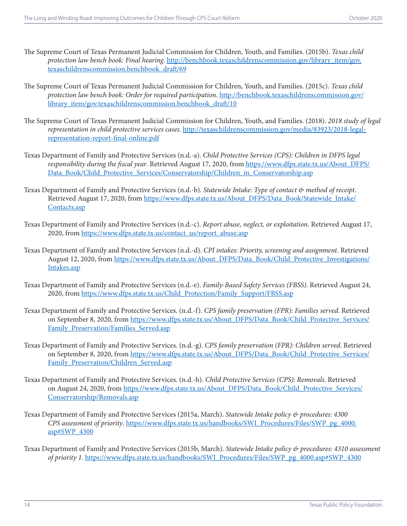- The Supreme Court of Texas Permanent Judicial Commission for Children, Youth, and Families. (2015b). *Texas child protection law bench book: Final hearing*. [http://benchbook.texaschildrenscommission.gov/library\\_item/gov.](http://benchbook.texaschildrenscommission.gov/library_item/gov.texaschildrenscommission.benchbook_draft/69) [texaschildrenscommission.benchbook\\_draft/69](http://benchbook.texaschildrenscommission.gov/library_item/gov.texaschildrenscommission.benchbook_draft/69)
- The Supreme Court of Texas Permanent Judicial Commission for Children, Youth, and Families. (2015c). *Texas child protection law bench book: Order for required participation*. [http://benchbook.texaschildrenscommission.gov/](http://benchbook.texaschildrenscommission.gov/library_item/gov.texaschildrenscommission.benchbook_draft/10) [library\\_item/gov.texaschildrenscommission.benchbook\\_draft/10](http://benchbook.texaschildrenscommission.gov/library_item/gov.texaschildrenscommission.benchbook_draft/10)
- The Supreme Court of Texas Permanent Judicial Commission for Children, Youth, and Families. (2018). *2018 study of legal representation in child protective services cases*. [http://texaschildrenscommission.gov/media/83923/2018-legal](http://texaschildrenscommission.gov/media/83923/2018-legal-representation-report-final-online.pdf)[representation-report-final-online.pdf](http://texaschildrenscommission.gov/media/83923/2018-legal-representation-report-final-online.pdf)
- Texas Department of Family and Protective Services (n.d.-a). *Child Protective Services (CPS): Children in DFPS legal responsibility during the fiscal year*. Retrieved August 17, 2020, from [https://www.dfps.state.tx.us/About\\_DFPS/](https://www.dfps.state.tx.us/About_DFPS/Data_Book/Child_Protective_Services/Conservatorship/Children_in_Conservatorship.asp) [Data\\_Book/Child\\_Protective\\_Services/Conservatorship/Children\\_in\\_Conservatorship.asp](https://www.dfps.state.tx.us/About_DFPS/Data_Book/Child_Protective_Services/Conservatorship/Children_in_Conservatorship.asp)
- Texas Department of Family and Protective Services (n.d.-b). *Statewide Intake: Type of contact & method of receipt*. Retrieved August 17, 2020, from [https://www.dfps.state.tx.us/About\\_DFPS/Data\\_Book/Statewide\\_Intake/](https://www.dfps.state.tx.us/About_DFPS/Data_Book/Statewide_Intake/Contacts.asp) [Contacts.asp](https://www.dfps.state.tx.us/About_DFPS/Data_Book/Statewide_Intake/Contacts.asp)
- Texas Department of Family and Protective Services (n.d.-c). *Report abuse, neglect, or exploitation*. Retrieved August 17, 2020, from [https://www.dfps.state.tx.us/contact\\_us/report\\_abuse.asp](https://www.dfps.state.tx.us/contact_us/report_abuse.asp)
- Texas Department of Family and Protective Services (n.d.-d). *CPI intakes: Priority, screening and assignment*. Retrieved August 12, 2020, from [https://www.dfps.state.tx.us/About\\_DFPS/Data\\_Book/Child\\_Protective\\_Investigations/](https://www.dfps.state.tx.us/About_DFPS/Data_Book/Child_Protective_Investigations/Intakes.asp) [Intakes.asp](https://www.dfps.state.tx.us/About_DFPS/Data_Book/Child_Protective_Investigations/Intakes.asp)
- Texas Department of Family and Protective Services (n.d.-e). *Family-Based Safety Services (FBSS)*. Retrieved August 24, 2020, from [https://www.dfps.state.tx.us/Child\\_Protection/Family\\_Support/FBSS.asp](https://www.dfps.state.tx.us/Child_Protection/Family_Support/FBSS.asp)
- Texas Department of Family and Protective Services. (n.d.-f). *CPS family preservation (FPR): Families served*. Retrieved on September 8, 2020, from [https://www.dfps.state.tx.us/About\\_DFPS/Data\\_Book/Child\\_Protective\\_Services/](https://www.dfps.state.tx.us/About_DFPS/Data_Book/Child_Protective_Services/Family_Preservation/Families_Served.asp) Family Preservation/Families Served.asp
- Texas Department of Family and Protective Services. (n.d.-g). *CPS family preservation (FPR): Children served*. Retrieved on September 8, 2020, from [https://www.dfps.state.tx.us/About\\_DFPS/Data\\_Book/Child\\_Protective\\_Services/](https://www.dfps.state.tx.us/About_DFPS/Data_Book/Child_Protective_Services/Family_Preservation/Children_Served.asp) Family\_Preservation/Children\_Served.asp
- Texas Department of Family and Protective Services. (n.d.-h). *Child Protective Services (CPS): Removals*. Retrieved on August 24, 2020, from [https://www.dfps.state.tx.us/About\\_DFPS/Data\\_Book/Child\\_Protective\\_Services/](https://www.dfps.state.tx.us/About_DFPS/Data_Book/Child_Protective_Services/Conservatorship/Removals.asp) [Conservatorship/Removals.asp](https://www.dfps.state.tx.us/About_DFPS/Data_Book/Child_Protective_Services/Conservatorship/Removals.asp)
- Texas Department of Family and Protective Services (2015a, March). *Statewide Intake policy & procedures: 4300 CPS assessment of priority*. [https://www.dfps.state.tx.us/handbooks/SWI\\_Procedures/Files/SWP\\_pg\\_4000.](https://www.dfps.state.tx.us/handbooks/SWI_Procedures/Files/SWP_pg_4000.asp#SWP_4300) [asp#SWP\\_4300](https://www.dfps.state.tx.us/handbooks/SWI_Procedures/Files/SWP_pg_4000.asp#SWP_4300)
- Texas Department of Family and Protective Services (2015b, March). *Statewide Intake policy & procedures: 4310 assessment of priority 1*. [https://www.dfps.state.tx.us/handbooks/SWI\\_Procedures/Files/SWP\\_pg\\_4000.asp#SWP\\_4300](https://www.dfps.state.tx.us/handbooks/SWI_Procedures/Files/SWP_pg_4000.asp#SWP_4300)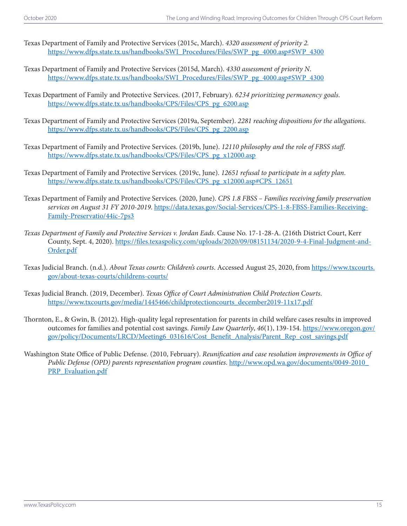- Texas Department of Family and Protective Services (2015c, March). *4320 assessment of priority 2.*  [https://www.dfps.state.tx.us/handbooks/SWI\\_Procedures/Files/SWP\\_pg\\_4000.asp#SWP\\_4300](https://www.dfps.state.tx.us/handbooks/SWI_Procedures/Files/SWP_pg_4000.asp#SWP_4300)
- Texas Department of Family and Protective Services (2015d, March). *4330 assessment of priority N*. [https://www.dfps.state.tx.us/handbooks/SWI\\_Procedures/Files/SWP\\_pg\\_4000.asp#SWP\\_4300](https://www.dfps.state.tx.us/handbooks/SWI_Procedures/Files/SWP_pg_4000.asp#SWP_4300)
- Texas Department of Family and Protective Services. (2017, February). *6234 prioritizing permanency goals*. [https://www.dfps.state.tx.us/handbooks/CPS/Files/CPS\\_pg\\_6200.asp](https://www.dfps.state.tx.us/handbooks/CPS/Files/CPS_pg_6200.asp)
- Texas Department of Family and Protective Services (2019a, September). *2281 reaching dispositions for the allegations*. [https://www.dfps.state.tx.us/handbooks/CPS/Files/CPS\\_pg\\_2200.asp](https://www.dfps.state.tx.us/handbooks/CPS/Files/CPS_pg_2200.asp)
- Texas Department of Family and Protective Services. (2019b, June). *12110 philosophy and the role of FBSS staff*. [https://www.dfps.state.tx.us/handbooks/CPS/Files/CPS\\_pg\\_x12000.asp](https://www.dfps.state.tx.us/handbooks/CPS/Files/CPS_pg_x12000.asp)
- Texas Department of Family and Protective Services. (2019c, June). *12651 refusal to participate in a safety plan*. [https://www.dfps.state.tx.us/handbooks/CPS/Files/CPS\\_pg\\_x12000.asp#CPS\\_12651](https://www.dfps.state.tx.us/handbooks/CPS/Files/CPS_pg_x12000.asp#CPS_12651)
- Texas Department of Family and Protective Services. (2020, June). *CPS 1.8 FBSS Families receiving family preservation services on August 31 FY 2010-2019*. [https://data.texas.gov/Social-Services/CPS-1-8-FBSS-Families-Receiving-](https://data.texas.gov/Social-Services/CPS-1-8-FBSS-Families-Receiving-Family-Preservatio/44ic-7ps3)[Family-Preservatio/44ic-7ps3](https://data.texas.gov/Social-Services/CPS-1-8-FBSS-Families-Receiving-Family-Preservatio/44ic-7ps3)
- *Texas Department of Family and Protective Services v. Jordan Eads*. Cause No. 17-1-28-A. (216th District Court, Kerr County, Sept. 4, 2020). [https://files.texaspolicy.com/uploads/2020/09/08151134/2020-9-4-Final-Judgment-and-](https://files.texaspolicy.com/uploads/2020/09/08151134/2020-9-4-Final-Judgment-and-Order.pdf)[Order.pdf](https://files.texaspolicy.com/uploads/2020/09/08151134/2020-9-4-Final-Judgment-and-Order.pdf)
- Texas Judicial Branch. (n.d.). *About Texas courts: Children's courts*. Accessed August 25, 2020, from [https://www.txcourts.](https://www.txcourts.gov/about-texas-courts/childrens-courts/) [gov/about-texas-courts/childrens-courts/](https://www.txcourts.gov/about-texas-courts/childrens-courts/)
- Texas Judicial Branch. (2019, December). *Texas Office of Court Administration Child Protection Courts*. [https://www.txcourts.gov/media/1445466/childprotectioncourts\\_december2019-11x17.pdf](https://www.txcourts.gov/media/1445466/childprotectioncourts_december2019-11x17.pdf)
- Thornton, E., & Gwin, B. (2012). High-quality legal representation for parents in child welfare cases results in improved outcomes for families and potential cost savings. *Family Law Quarterly*, *46*(1), 139-154. [https://www.oregon.gov/](https://www.oregon.gov/gov/policy/Documents/LRCD/Meeting6_031616/Cost_Benefit_Analysis/Parent_Rep_cost_savings.pdf) [gov/policy/Documents/LRCD/Meeting6\\_031616/Cost\\_Benefit\\_Analysis/Parent\\_Rep\\_cost\\_savings.pdf](https://www.oregon.gov/gov/policy/Documents/LRCD/Meeting6_031616/Cost_Benefit_Analysis/Parent_Rep_cost_savings.pdf)
- Washington State Office of Public Defense. (2010, February). *Reunification and case resolution improvements in Office of Public Defense (OPD) parents representation program counties*. [http://www.opd.wa.gov/documents/0049-2010\\_](http://www.opd.wa.gov/documents/0049-2010_PRP_Evaluation.pdf) [PRP\\_Evaluation.pdf](http://www.opd.wa.gov/documents/0049-2010_PRP_Evaluation.pdf)